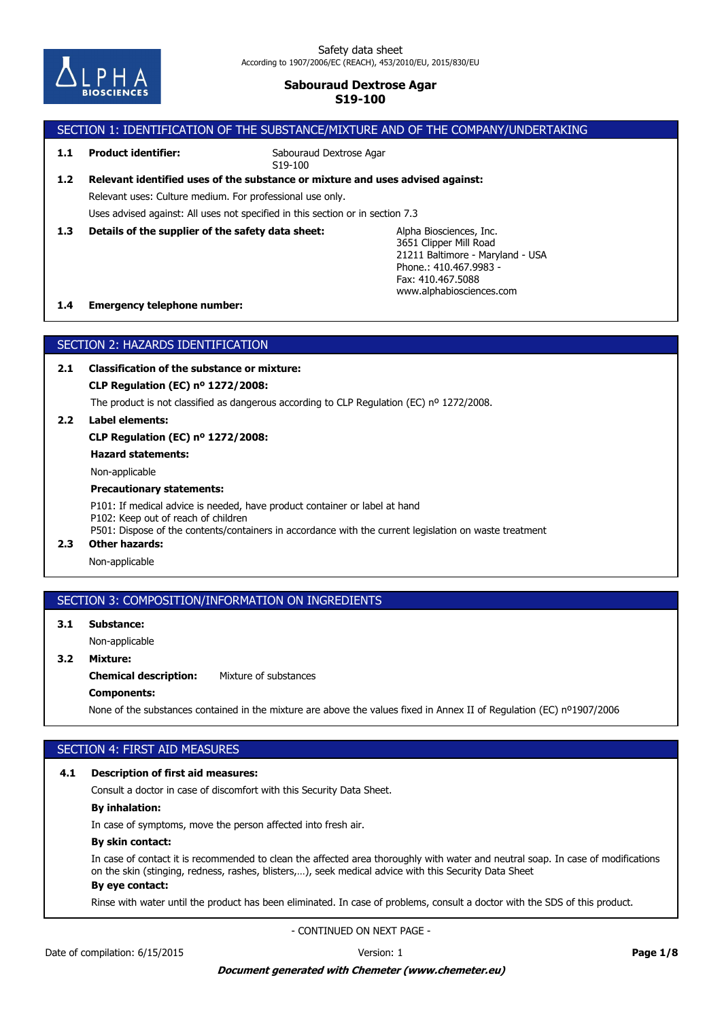

# SECTION 1: IDENTIFICATION OF THE SUBSTANCE/MIXTURE AND OF THE COMPANY/UNDERTAKING

### **1.1 Product identifier:**

Sabouraud Dextrose Agar S19-100

# Uses advised against: All uses not specified in this section or in section 7.3 Relevant uses: Culture medium. For professional use only. **1.2 Relevant identified uses of the substance or mixture and uses advised against:**

**1.3 Details of the supplier of the safety data sheet:**

Alpha Biosciences, Inc. 3651 Clipper Mill Road 21211 Baltimore - Maryland - USA Phone.: 410.467.9983-Fax: 410.467.5088 www.alphabiosciences.com

### **1.4 Emergency telephone number:**

# SECTION 2: HAZARDS IDENTIFICATION

**2.1 Classification of the substance or mixture:**

**CLP Regulation (EC) nº 1272/2008:**

The product is not classified as dangerous according to CLP Regulation (EC) nº 1272/2008.

**2.2 Label elements:**

**CLP Regulation (EC) nº 1272/2008:**

**Hazard statements:**

Non-applicable

### **Precautionary statements:**

P101: If medical advice is needed, have product container or label at hand P102: Keep out of reach of children P501: Dispose of the contents/containers in accordance with the current legislation on waste treatment

# **2.3 Other hazards:**

Non-applicable

### SECTION 3: COMPOSITION/INFORMATION ON INGREDIENTS

**3.1 Substance:**

Non-applicable

# **3.2 Mixture:**

**Chemical description:** Mixture of substances

### **Components:**

None of the substances contained in the mixture are above the values fixed in Annex II of Regulation (EC) nº1907/2006

# SECTION 4: FIRST AID MEASURES

### **4.1 Description of first aid measures:**

Consult a doctor in case of discomfort with this Security Data Sheet.

### **By inhalation:**

In case of symptoms, move the person affected into fresh air.

### **By skin contact:**

In case of contact it is recommended to clean the affected area thoroughly with water and neutral soap. In case of modifications on the skin (stinging, redness, rashes, blisters,…), seek medical advice with this Security Data Sheet

# **By eye contact:**

Rinse with water until the product has been eliminated. In case of problems, consult a doctor with the SDS of this product.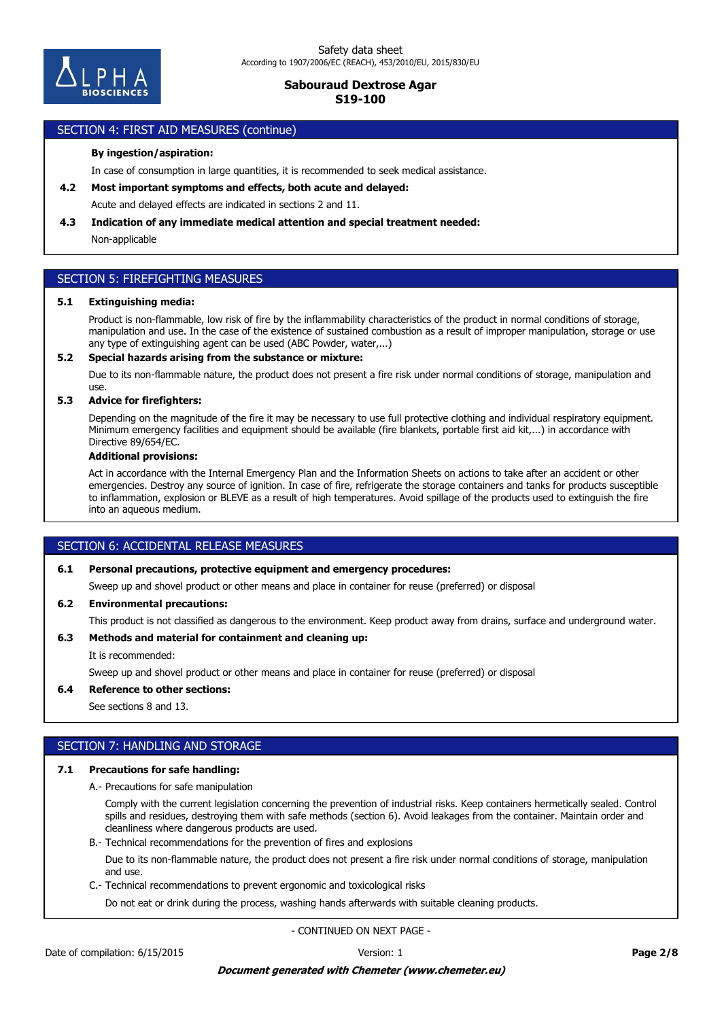

# SECTION 4: FIRST AID MEASURES (continue)

### **By ingestion/aspiration:**

In case of consumption in large quantities, it is recommended to seek medical assistance.

- **4.2 Most important symptoms and effects, both acute and delayed:**
- Acute and delayed effects are indicated in sections 2 and 11.

#### **4.3 Indication of any immediate medical attention and special treatment needed:**

Non-applicable

### SECTION 5: FIREFIGHTING MEASURES

#### **5.1 Extinguishing media:**

Product is non-flammable, low risk of fire by the inflammability characteristics of the product in normal conditions of storage, manipulation and use. In the case of the existence of sustained combustion as a result of improper manipulation, storage or use any type of extinguishing agent can be used (ABC Powder, water,...)

#### **5.2 Special hazards arising from the substance or mixture:**

Due to its non-flammable nature, the product does not present a fire risk under normal conditions of storage, manipulation and use.

### **5.3 Advice for firefighters:**

Depending on the magnitude of the fire it may be necessary to use full protective clothing and individual respiratory equipment. Minimum emergency facilities and equipment should be available (fire blankets, portable first aid kit,...) in accordance with Directive 89/654/EC.

#### **Additional provisions:**

Act in accordance with the Internal Emergency Plan and the Information Sheets on actions to take after an accident or other emergencies. Destroy any source of ignition. In case of fire, refrigerate the storage containers and tanks for products susceptible to inflammation, explosion or BLEVE as a result of high temperatures. Avoid spillage of the products used to extinguish the fire into an aqueous medium.

### SECTION 6: ACCIDENTAL RELEASE MEASURES

### **6.1 Personal precautions, protective equipment and emergency procedures:**

Sweep up and shovel product or other means and place in container for reuse (preferred) or disposal

#### **6.2 Environmental precautions:**

This product is not classified as dangerous to the environment. Keep product away from drains, surface and underground water.

### **6.3 Methods and material for containment and cleaning up:**

It is recommended:

Sweep up and shovel product or other means and place in container for reuse (preferred) or disposal

#### **6.4 Reference to other sections:**

See sections 8 and 13.

### SECTION 7: HANDLING AND STORAGE

#### **7.1 Precautions for safe handling:**

A.- Precautions for safe manipulation

Comply with the current legislation concerning the prevention of industrial risks. Keep containers hermetically sealed. Control spills and residues, destroying them with safe methods (section 6). Avoid leakages from the container. Maintain order and cleanliness where dangerous products are used.

B.- Technical recommendations for the prevention of fires and explosions

Due to its non-flammable nature, the product does not present a fire risk under normal conditions of storage, manipulation and use.

C.- Technical recommendations to prevent ergonomic and toxicological risks

Do not eat or drink during the process, washing hands afterwards with suitable cleaning products.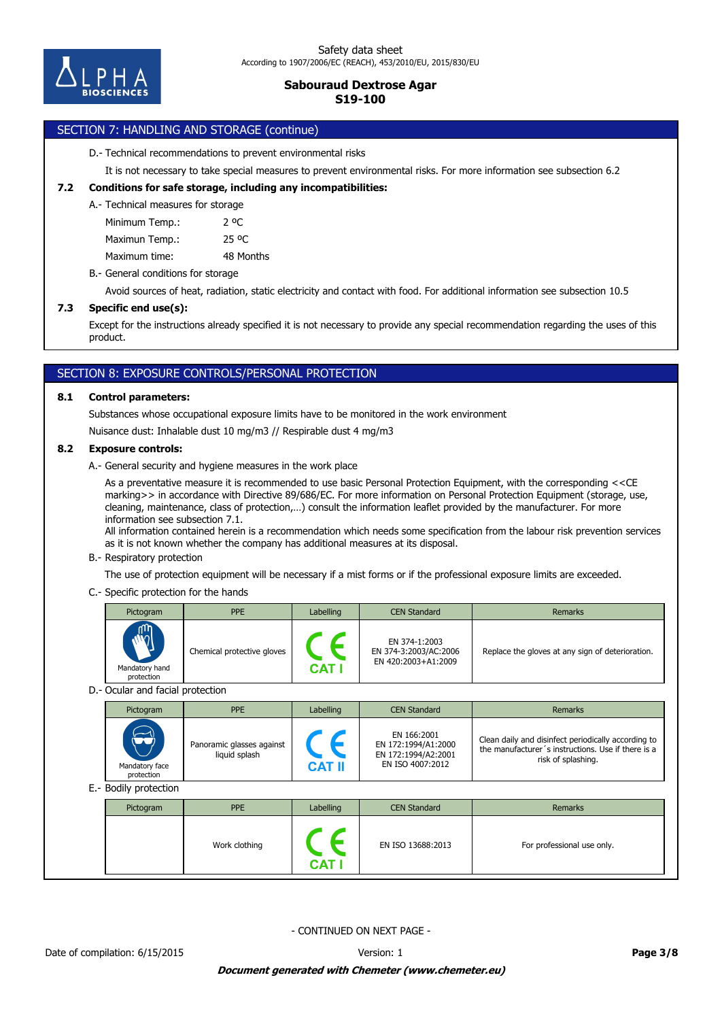

# SECTION 7: HANDLING AND STORAGE (continue)

#### D.- Technical recommendations to prevent environmental risks

It is not necessary to take special measures to prevent environmental risks. For more information see subsection 6.2

### **7.2 Conditions for safe storage, including any incompatibilities:**

#### A.- Technical measures for storage

Minimum Temp.: 2 °C

Maximun Temp.: 25 °C

Maximum time: 48 Months

B.- General conditions for storage

Avoid sources of heat, radiation, static electricity and contact with food. For additional information see subsection 10.5

### **7.3 Specific end use(s):**

Except for the instructions already specified it is not necessary to provide any special recommendation regarding the uses of this product.

# SECTION 8: EXPOSURE CONTROLS/PERSONAL PROTECTION

### **8.1 Control parameters:**

Substances whose occupational exposure limits have to be monitored in the work environment

Nuisance dust: Inhalable dust 10 mg/m3 // Respirable dust 4 mg/m3

#### **8.2 Exposure controls:**

A.- General security and hygiene measures in the work place

As a preventative measure it is recommended to use basic Personal Protection Equipment, with the corresponding <<CE marking>> in accordance with Directive 89/686/EC. For more information on Personal Protection Equipment (storage, use, cleaning, maintenance, class of protection,…) consult the information leaflet provided by the manufacturer. For more information see subsection 7.1.

All information contained herein is a recommendation which needs some specification from the labour risk prevention services as it is not known whether the company has additional measures at its disposal.

#### B.- Respiratory protection

The use of protection equipment will be necessary if a mist forms or if the professional exposure limits are exceeded.

#### C.- Specific protection for the hands

|                                  | Pictogram                    | <b>PPE</b>                                 | Labelling                   | <b>CEN Standard</b>                                                           | <b>Remarks</b>                                                                                                                  |
|----------------------------------|------------------------------|--------------------------------------------|-----------------------------|-------------------------------------------------------------------------------|---------------------------------------------------------------------------------------------------------------------------------|
|                                  | Mandatory hand<br>protection | Chemical protective gloves                 | $\epsilon$<br><b>CAT I</b>  | EN 374-1:2003<br>EN 374-3:2003/AC:2006<br>EN 420:2003+A1:2009                 | Replace the gloves at any sign of deterioration.                                                                                |
| D.- Ocular and facial protection |                              |                                            |                             |                                                                               |                                                                                                                                 |
|                                  | Pictogram                    | <b>PPE</b>                                 | Labelling                   | <b>CEN Standard</b>                                                           | <b>Remarks</b>                                                                                                                  |
|                                  | Mandatory face<br>protection | Panoramic glasses against<br>liquid splash | $\epsilon$<br><b>CAT II</b> | EN 166:2001<br>EN 172:1994/A1:2000<br>EN 172:1994/A2:2001<br>EN ISO 4007:2012 | Clean daily and disinfect periodically according to<br>the manufacturer's instructions. Use if there is a<br>risk of splashing. |
|                                  | E.- Bodily protection        |                                            |                             |                                                                               |                                                                                                                                 |
|                                  | Pictogram                    | <b>PPE</b>                                 | Labelling                   | <b>CEN Standard</b>                                                           | <b>Remarks</b>                                                                                                                  |
|                                  |                              | Work clothing                              |                             | EN ISO 13688:2013                                                             | For professional use only.                                                                                                      |

| - CONTINUED ON NEXT PAGE - |  |
|----------------------------|--|
|----------------------------|--|

**CAT I**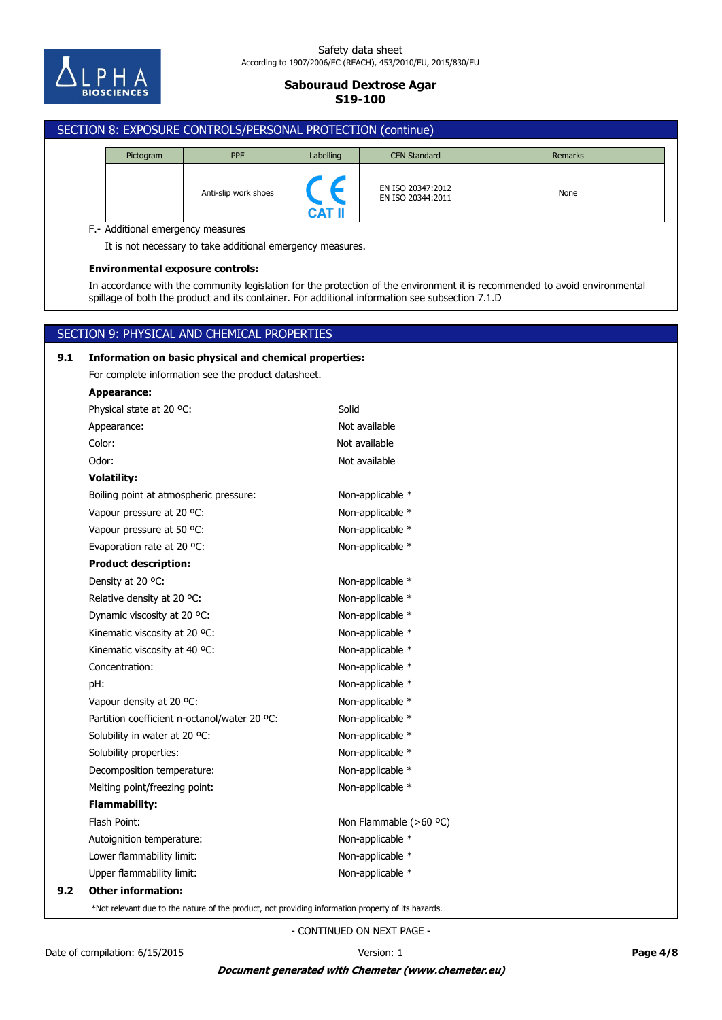

#### Safety data sheet According to 1907/2006/EC (REACH), 453/2010/EU, 2015/830/EU

# **Sabouraud Dextrose Agar S19-100**

# SECTION 8: EXPOSURE CONTROLS/PERSONAL PROTECTION (continue) Pictogram PPE 2012 Labelling CEN Standard Number 2014 Remarks EN ISO 20347:2012<br>EN ISO 20244:2011 Anti-slip work shoes<br>EN ISO 20344:2011 **CAT II** F.- Additional emergency measures It is not necessary to take additional emergency measures. **Environmental exposure controls:** In accordance with the community legislation for the protection of the environment it is recommended to avoid environmental spillage of both the product and its container. For additional information see subsection 7.1.D SECTION 9: PHYSICAL AND CHEMICAL PROPERTIES **9.1 Information on basic physical and chemical properties:** For complete information see the product datasheet. **Appearance:** Physical state at 20 °C: Solid Appearance: Not available

| Physical state at 20 °C:                                                                           | Solid                  |
|----------------------------------------------------------------------------------------------------|------------------------|
| Appearance:                                                                                        | Not available          |
| Color:                                                                                             | Not available          |
| Odor:                                                                                              | Not available          |
| <b>Volatility:</b>                                                                                 |                        |
| Boiling point at atmospheric pressure:                                                             | Non-applicable *       |
| Vapour pressure at 20 °C:                                                                          | Non-applicable *       |
| Vapour pressure at 50 °C:                                                                          | Non-applicable *       |
| Evaporation rate at 20 °C:                                                                         | Non-applicable *       |
| <b>Product description:</b>                                                                        |                        |
| Density at 20 °C:                                                                                  | Non-applicable *       |
| Relative density at 20 °C:                                                                         | Non-applicable *       |
| Dynamic viscosity at 20 °C:                                                                        | Non-applicable *       |
| Kinematic viscosity at 20 °C:                                                                      | Non-applicable *       |
| Kinematic viscosity at 40 °C:                                                                      | Non-applicable *       |
| Concentration:                                                                                     | Non-applicable *       |
| pH:                                                                                                | Non-applicable *       |
| Vapour density at 20 °C:                                                                           | Non-applicable *       |
| Partition coefficient n-octanol/water 20 °C:                                                       | Non-applicable *       |
| Solubility in water at 20 °C:                                                                      | Non-applicable *       |
| Solubility properties:                                                                             | Non-applicable *       |
| Decomposition temperature:                                                                         | Non-applicable *       |
| Melting point/freezing point:                                                                      | Non-applicable *       |
| <b>Flammability:</b>                                                                               |                        |
| Flash Point:                                                                                       | Non Flammable (>60 °C) |
| Autoignition temperature:                                                                          | Non-applicable *       |
| Lower flammability limit:                                                                          | Non-applicable *       |
| Upper flammability limit:                                                                          | Non-applicable *       |
| <b>Other information:</b>                                                                          |                        |
| *Not relevant due to the nature of the product, not providing information property of its hazards. |                        |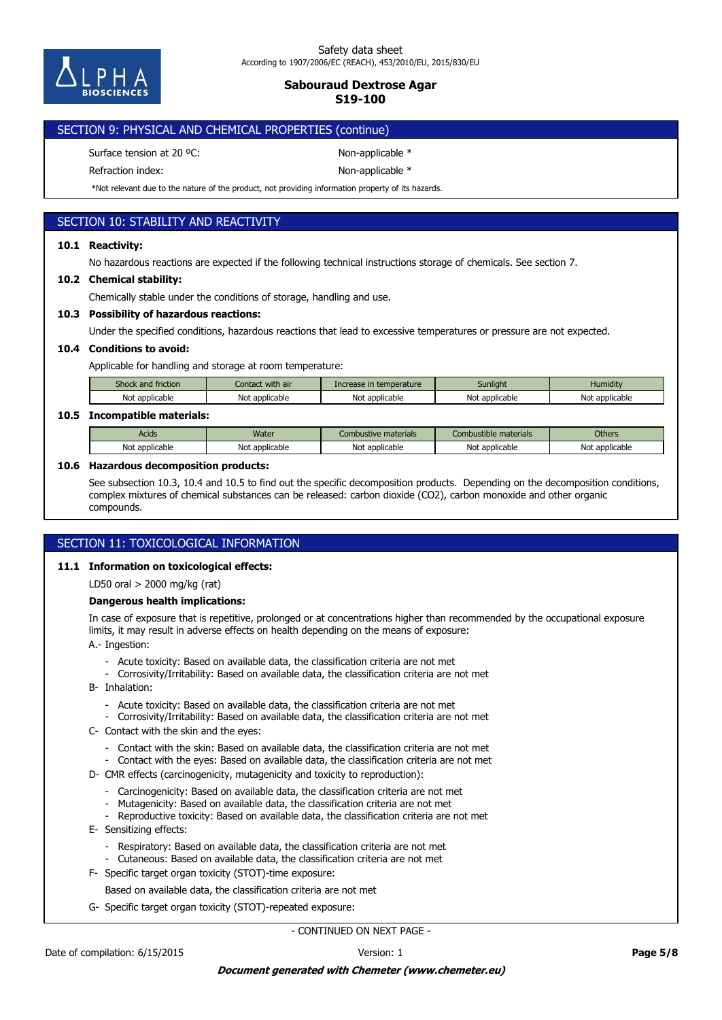

# SECTION 9: PHYSICAL AND CHEMICAL PROPERTIES (continue)

Surface tension at 20 °C: Non-applicable \*

Refraction index: Non-applicable \*

\*Not relevant due to the nature of the product, not providing information property of its hazards.

# SECTION 10: STABILITY AND REACTIVITY

### **10.1 Reactivity:**

No hazardous reactions are expected if the following technical instructions storage of chemicals. See section 7.

### **10.2 Chemical stability:**

Chemically stable under the conditions of storage, handling and use.

### **10.3 Possibility of hazardous reactions:**

Under the specified conditions, hazardous reactions that lead to excessive temperatures or pressure are not expected.

### **10.4 Conditions to avoid:**

Applicable for handling and storage at room temperature:

| Shock and friction | Contact with air | Increase in temperature | Sunliaht       | Humidity       |
|--------------------|------------------|-------------------------|----------------|----------------|
| Not applicable     | Not applicable   | Not<br>: applicable     | Not applicable | Not applicable |

### **10.5 Incompatible materials:**

| Acids                          | <b>Water</b>   | : materials<br>.ombustive     | .<br>: materials<br>Combustible | Others         |
|--------------------------------|----------------|-------------------------------|---------------------------------|----------------|
| Not<br><sup>.</sup> applicable | Not applicable | Nl∩t<br>t applicable:<br>ινυι | t applicable<br>יהוח<br>ושטו    | Not applicable |

#### **10.6 Hazardous decomposition products:**

See subsection 10.3, 10.4 and 10.5 to find out the specific decomposition products. Depending on the decomposition conditions, complex mixtures of chemical substances can be released: carbon dioxide (CO2), carbon monoxide and other organic compounds.

### SECTION 11: TOXICOLOGICAL INFORMATION

### **11.1 Information on toxicological effects:**

LD50 oral > 2000 mg/kg (rat)

#### **Dangerous health implications:**

In case of exposure that is repetitive, prolonged or at concentrations higher than recommended by the occupational exposure limits, it may result in adverse effects on health depending on the means of exposure:

A.- Ingestion:

- Acute toxicity: Based on available data, the classification criteria are not met
- Corrosivity/Irritability: Based on available data, the classification criteria are not met
- B- Inhalation:
	- Acute toxicity: Based on available data, the classification criteria are not met
	- Corrosivity/Irritability: Based on available data, the classification criteria are not met
- C- Contact with the skin and the eyes:
	- Contact with the skin: Based on available data, the classification criteria are not met
	- Contact with the eyes: Based on available data, the classification criteria are not met
- D- CMR effects (carcinogenicity, mutagenicity and toxicity to reproduction):
	- Carcinogenicity: Based on available data, the classification criteria are not met
	- Mutagenicity: Based on available data, the classification criteria are not met
	- Reproductive toxicity: Based on available data, the classification criteria are not met
- E- Sensitizing effects:
	- Respiratory: Based on available data, the classification criteria are not met
	- Cutaneous: Based on available data, the classification criteria are not met
- F- Specific target organ toxicity (STOT)-time exposure:
	- Based on available data, the classification criteria are not met
- G- Specific target organ toxicity (STOT)-repeated exposure: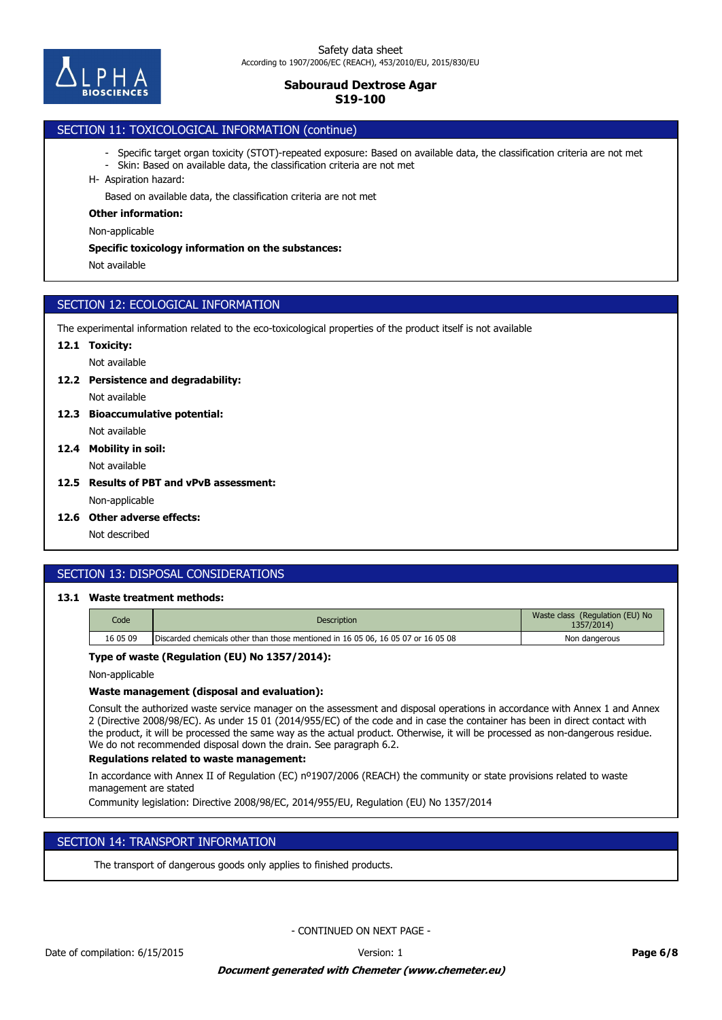

# SECTION 11: TOXICOLOGICAL INFORMATION (continue)

- Specific target organ toxicity (STOT)-repeated exposure: Based on available data, the classification criteria are not met
- Skin: Based on available data, the classification criteria are not met
- H- Aspiration hazard:

Based on available data, the classification criteria are not met

#### **Other information:**

Non-applicable

#### **Specific toxicology information on the substances:**

Not available

### SECTION 12: ECOLOGICAL INFORMATION

The experimental information related to the eco-toxicological properties of the product itself is not available

### **12.1 Toxicity:**

Not available

#### **12.2 Persistence and degradability:**

Not available

- Not available **12.3 Bioaccumulative potential:**
- Not available **12.4 Mobility in soil:**
- **12.5 Results of PBT and vPvB assessment:**

Non-applicable

**12.6 Other adverse effects:**

Not described

### SECTION 13: DISPOSAL CONSIDERATIONS

# **13.1 Waste treatment methods:**

| Code     | <b>Description</b>                                                               | Waste class (Regulation (EU) No<br>1357/2014) |
|----------|----------------------------------------------------------------------------------|-----------------------------------------------|
| 16 05 09 | Discarded chemicals other than those mentioned in 16 05 06, 16 05 07 or 16 05 08 | Non dangerous                                 |

### **Type of waste (Regulation (EU) No 1357/2014):**

Non-applicable

### **Waste management (disposal and evaluation):**

Consult the authorized waste service manager on the assessment and disposal operations in accordance with Annex 1 and Annex 2 (Directive 2008/98/EC). As under 15 01 (2014/955/EC) of the code and in case the container has been in direct contact with the product, it will be processed the same way as the actual product. Otherwise, it will be processed as non-dangerous residue. We do not recommended disposal down the drain. See paragraph 6.2.

### **Regulations related to waste management:**

In accordance with Annex II of Regulation (EC) nº1907/2006 (REACH) the community or state provisions related to waste management are stated

Community legislation: Directive 2008/98/EC, 2014/955/EU, Regulation (EU) No 1357/2014

### SECTION 14: TRANSPORT INFORMATION

The transport of dangerous goods only applies to finished products.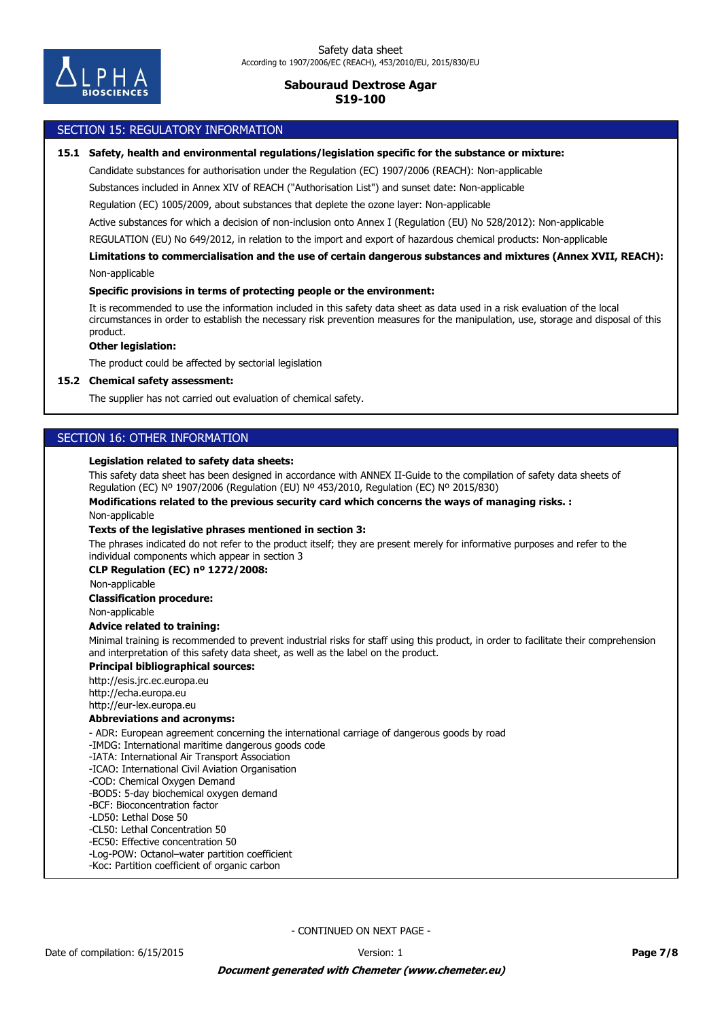

### SECTION 15: REGULATORY INFORMATION

#### **15.1 Safety, health and environmental regulations/legislation specific for the substance or mixture:**

Candidate substances for authorisation under the Regulation (EC) 1907/2006 (REACH): Non-applicable

Substances included in Annex XIV of REACH ("Authorisation List") and sunset date: Non-applicable

Regulation (EC) 1005/2009, about substances that deplete the ozone layer: Non-applicable

Active substances for which a decision of non-inclusion onto Annex I (Regulation (EU) No 528/2012): Non-applicable

REGULATION (EU) No 649/2012, in relation to the import and export of hazardous chemical products: Non-applicable

Non-applicable **Limitations to commercialisation and the use of certain dangerous substances and mixtures (Annex XVII, REACH):**

#### **Specific provisions in terms of protecting people or the environment:**

It is recommended to use the information included in this safety data sheet as data used in a risk evaluation of the local circumstances in order to establish the necessary risk prevention measures for the manipulation, use, storage and disposal of this product.

#### **Other legislation:**

The product could be affected by sectorial legislation

#### **15.2 Chemical safety assessment:**

The supplier has not carried out evaluation of chemical safety.

### SECTION 16: OTHER INFORMATION

#### **Legislation related to safety data sheets:**

This safety data sheet has been designed in accordance with ANNEX II-Guide to the compilation of safety data sheets of Regulation (EC) Nº 1907/2006 (Regulation (EU) Nº 453/2010, Regulation (EC) Nº 2015/830)

**Modifications related to the previous security card which concerns the ways of managing risks. :**

Non-applicable

#### **Texts of the legislative phrases mentioned in section 3:**

The phrases indicated do not refer to the product itself; they are present merely for informative purposes and refer to the individual components which appear in section 3

#### **CLP Regulation (EC) nº 1272/2008:**

Non-applicable

#### **Classification procedure:**

Non-applicable

### **Advice related to training:**

Minimal training is recommended to prevent industrial risks for staff using this product, in order to facilitate their comprehension and interpretation of this safety data sheet, as well as the label on the product.

### **Principal bibliographical sources:**

http://esis.jrc.ec.europa.eu http://echa.europa.eu http://eur-lex.europa.eu

### **Abbreviations and acronyms:**

- ADR: European agreement concerning the international carriage of dangerous goods by road

- -IMDG: International maritime dangerous goods code
- -IATA: International Air Transport Association
- -ICAO: International Civil Aviation Organisation
- -COD: Chemical Oxygen Demand
- -BOD5: 5-day biochemical oxygen demand
- -BCF: Bioconcentration factor
- -LD50: Lethal Dose 50
- -CL50: Lethal Concentration 50
- -EC50: Effective concentration 50
- -Log-POW: Octanol–water partition coefficient
- -Koc: Partition coefficient of organic carbon